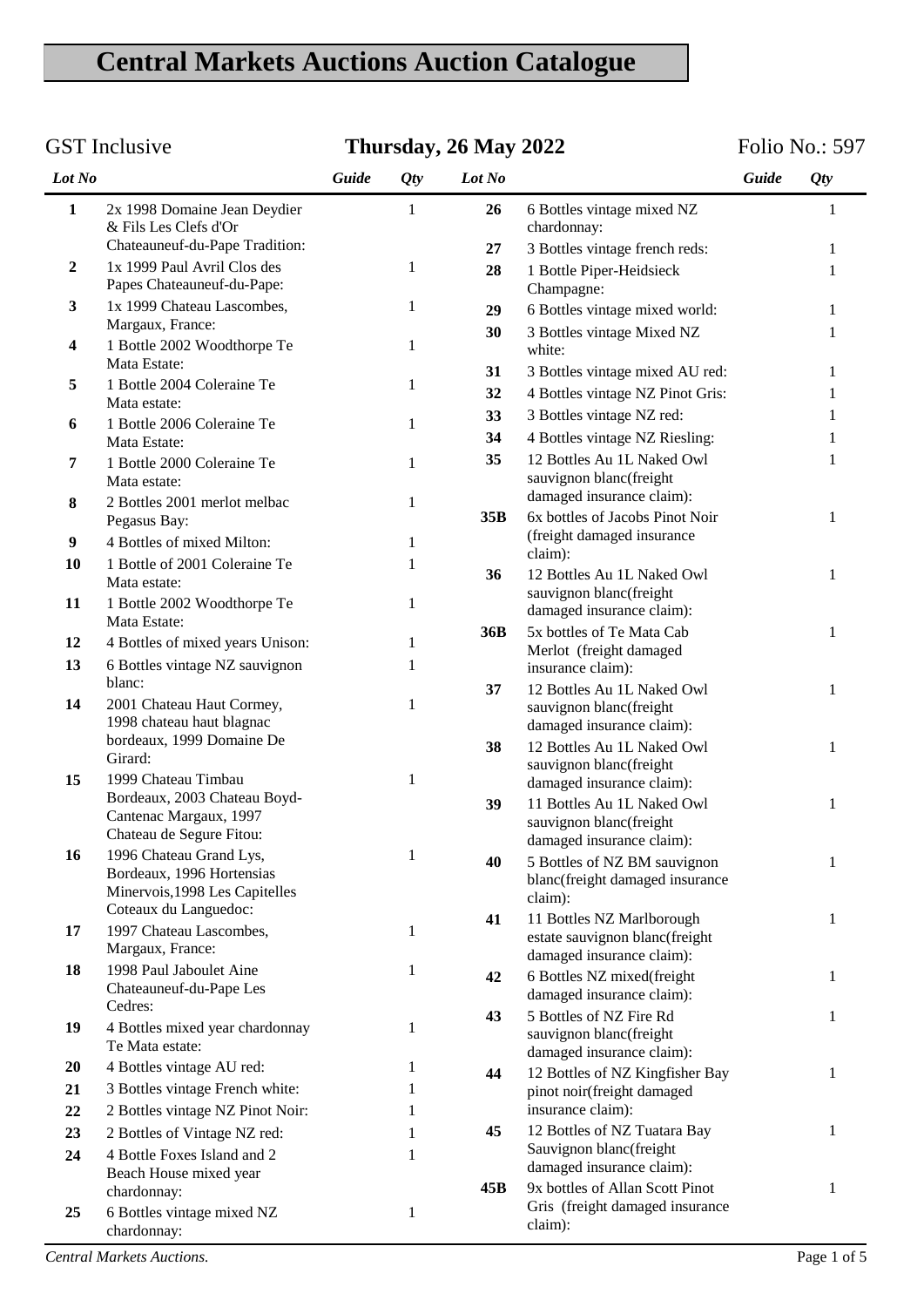## **Central Markets Auctions Auction Catalogue**

## GST Inclusive **Folio No.: 597 Thursday, 26 May 2022** Folio No.: 597

| Lot No           |                                                           | Guide | <b>Qty</b>   | Lot No |                                                                    | Guide | Qty          |
|------------------|-----------------------------------------------------------|-------|--------------|--------|--------------------------------------------------------------------|-------|--------------|
| $\mathbf{1}$     | 2x 1998 Domaine Jean Deydier<br>& Fils Les Clefs d'Or     |       | $\mathbf{1}$ | 26     | 6 Bottles vintage mixed NZ<br>chardonnay:                          |       | 1            |
|                  | Chateauneuf-du-Pape Tradition:                            |       |              | 27     | 3 Bottles vintage french reds:                                     |       | 1            |
| $\boldsymbol{2}$ | 1x 1999 Paul Avril Clos des<br>Papes Chateauneuf-du-Pape: |       | 1            | 28     | 1 Bottle Piper-Heidsieck<br>Champagne:                             |       | 1            |
| 3                | 1x 1999 Chateau Lascombes,                                |       | 1            | 29     | 6 Bottles vintage mixed world:                                     |       | 1            |
| 4                | Margaux, France:<br>1 Bottle 2002 Woodthorpe Te           |       | 1            | 30     | 3 Bottles vintage Mixed NZ<br>white:                               |       | 1            |
|                  | Mata Estate:                                              |       |              | 31     | 3 Bottles vintage mixed AU red:                                    |       | 1            |
| 5                | 1 Bottle 2004 Coleraine Te<br>Mata estate:                |       | 1            | 32     | 4 Bottles vintage NZ Pinot Gris:                                   |       | 1            |
| 6                | 1 Bottle 2006 Coleraine Te                                |       | 1            | 33     | 3 Bottles vintage NZ red:                                          |       | 1            |
|                  | Mata Estate:                                              |       |              | 34     | 4 Bottles vintage NZ Riesling:                                     |       | 1            |
| 7                | 1 Bottle 2000 Coleraine Te<br>Mata estate:                |       | $\mathbf{1}$ | 35     | 12 Bottles Au 1L Naked Owl<br>sauvignon blanc(freight              |       | 1            |
| 8                | 2 Bottles 2001 merlot melbac                              |       | $\mathbf{1}$ |        | damaged insurance claim):                                          |       |              |
|                  | Pegasus Bay:                                              |       |              | 35B    | 6x bottles of Jacobs Pinot Noir                                    |       | 1            |
| $\boldsymbol{9}$ | 4 Bottles of mixed Milton:                                |       | $\mathbf{1}$ |        | (freight damaged insurance<br>claim):                              |       |              |
| 10               | 1 Bottle of 2001 Coleraine Te<br>Mata estate:             |       | 1            | 36     | 12 Bottles Au 1L Naked Owl<br>sauvignon blanc(freight              |       | 1            |
| 11               | 1 Bottle 2002 Woodthorpe Te                               |       | $\mathbf{1}$ |        | damaged insurance claim):                                          |       |              |
| 12               | Mata Estate:                                              |       | 1            | 36B    | 5x bottles of Te Mata Cab                                          |       | 1            |
| 13               | 4 Bottles of mixed years Unison:                          |       |              |        | Merlot (freight damaged                                            |       |              |
|                  | 6 Bottles vintage NZ sauvignon<br>blanc:                  |       | 1            |        | insurance claim):                                                  |       |              |
| 14               | 2001 Chateau Haut Cormey,                                 |       | $\mathbf{1}$ | 37     | 12 Bottles Au 1L Naked Owl<br>sauvignon blanc(freight              |       | 1            |
|                  | 1998 chateau haut blagnac                                 |       |              |        | damaged insurance claim):                                          |       |              |
|                  | bordeaux, 1999 Domaine De                                 |       |              | 38     | 12 Bottles Au 1L Naked Owl                                         |       | $\mathbf{1}$ |
|                  | Girard:                                                   |       |              |        | sauvignon blanc(freight                                            |       |              |
| 15               | 1999 Chateau Timbau                                       |       | $\mathbf{1}$ |        | damaged insurance claim):                                          |       |              |
|                  | Bordeaux, 2003 Chateau Boyd-<br>Cantenac Margaux, 1997    |       |              | 39     | 11 Bottles Au 1L Naked Owl                                         |       | 1            |
|                  | Chateau de Segure Fitou:                                  |       |              |        | sauvignon blanc(freight                                            |       |              |
| 16               | 1996 Chateau Grand Lys,                                   |       | 1            |        | damaged insurance claim):                                          |       |              |
|                  | Bordeaux, 1996 Hortensias                                 |       |              | 40     | 5 Bottles of NZ BM sauvignon<br>blanc(freight damaged insurance    |       |              |
|                  | Minervois, 1998 Les Capitelles                            |       |              |        | claim):                                                            |       |              |
|                  | Coteaux du Languedoc:                                     |       |              | 41     | 11 Bottles NZ Marlborough                                          |       | 1            |
| 17               | 1997 Chateau Lascombes,                                   |       | 1            |        | estate sauvignon blanc(freight                                     |       |              |
|                  | Margaux, France:<br>1998 Paul Jaboulet Aine               |       |              |        | damaged insurance claim):                                          |       |              |
| 18               | Chateauneuf-du-Pape Les                                   |       | 1            | 42     | 6 Bottles NZ mixed(freight                                         |       | 1            |
|                  | Cedres:                                                   |       |              |        | damaged insurance claim):                                          |       |              |
| 19               | 4 Bottles mixed year chardonnay                           |       | 1            | 43     | 5 Bottles of NZ Fire Rd<br>sauvignon blanc(freight                 |       | 1            |
|                  | Te Mata estate:                                           |       |              |        | damaged insurance claim):                                          |       |              |
| 20               | 4 Bottles vintage AU red:                                 |       | 1            | 44     | 12 Bottles of NZ Kingfisher Bay                                    |       | 1            |
| 21               | 3 Bottles vintage French white:                           |       | 1            |        | pinot noir(freight damaged                                         |       |              |
| 22               | 2 Bottles vintage NZ Pinot Noir:                          |       | 1            |        | insurance claim):                                                  |       |              |
| 23               | 2 Bottles of Vintage NZ red:                              |       | 1            | 45     | 12 Bottles of NZ Tuatara Bay                                       |       | 1            |
| 24               | 4 Bottle Foxes Island and 2                               |       | 1            |        | Sauvignon blanc(freight                                            |       |              |
|                  | Beach House mixed year                                    |       |              |        | damaged insurance claim):                                          |       |              |
|                  | chardonnay:                                               |       |              | 45B    | 9x bottles of Allan Scott Pinot<br>Gris (freight damaged insurance |       | 1            |
| 25               | 6 Bottles vintage mixed NZ<br>chardonnay:                 |       | $\mathbf{1}$ |        | claim):                                                            |       |              |

*Central Markets Auctions.* Page 1 of 5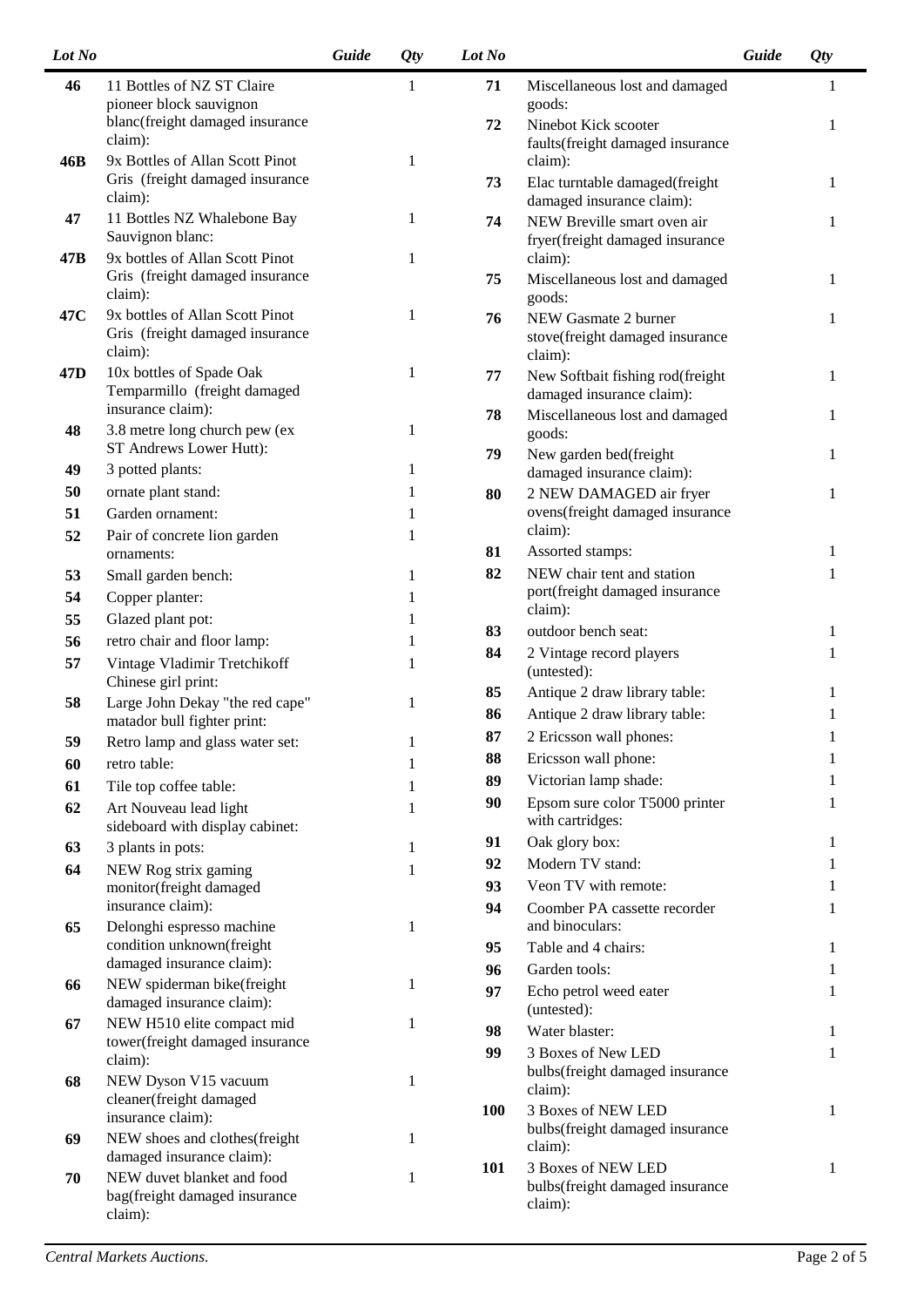| Lot No          |                                                                                                     | Guide | <i>Qty</i> | Lot No   |                                                                                             | Guide | Qty    |
|-----------------|-----------------------------------------------------------------------------------------------------|-------|------------|----------|---------------------------------------------------------------------------------------------|-------|--------|
| 46              | 11 Bottles of NZ ST Claire<br>pioneer block sauvignon                                               |       | 1          | 71       | Miscellaneous lost and damaged<br>goods:                                                    |       | 1      |
|                 | blanc(freight damaged insurance<br>claim):                                                          |       |            | 72       | Ninebot Kick scooter<br>faults(freight damaged insurance                                    |       | 1      |
| 46B             | 9x Bottles of Allan Scott Pinot<br>Gris (freight damaged insurance<br>claim):                       |       | 1          | 73       | claim):<br>Elac turntable damaged(freight                                                   |       | 1      |
| 47              | 11 Bottles NZ Whalebone Bay<br>Sauvignon blanc:                                                     |       | 1          | 74       | damaged insurance claim):<br>NEW Breville smart oven air<br>fryer(freight damaged insurance |       | 1      |
| 47B             | 9x bottles of Allan Scott Pinot<br>Gris (freight damaged insurance                                  |       | 1          | 75       | claim):<br>Miscellaneous lost and damaged                                                   |       | 1      |
| 47C             | claim):<br>9x bottles of Allan Scott Pinot<br>Gris (freight damaged insurance                       |       | 1          | 76       | goods:<br>NEW Gasmate 2 burner<br>stove(freight damaged insurance                           |       | 1      |
| 47 <sub>D</sub> | claim):<br>10x bottles of Spade Oak<br>Temparmillo (freight damaged                                 |       | 1          | 77       | claim):<br>New Softbait fishing rod(freight<br>damaged insurance claim):                    |       | 1      |
| 48              | insurance claim):<br>3.8 metre long church pew (ex<br>ST Andrews Lower Hutt):                       |       | 1          | 78       | Miscellaneous lost and damaged<br>goods:                                                    |       | 1      |
| 49<br>50        | 3 potted plants:<br>ornate plant stand:                                                             |       | 1<br>1     | 79       | New garden bed(freight<br>damaged insurance claim):                                         |       | 1      |
| 51<br>52        | Garden ornament:                                                                                    |       | 1          | 80       | 2 NEW DAMAGED air fryer<br>ovens(freight damaged insurance<br>claim):                       |       | 1      |
| 53              | Pair of concrete lion garden<br>ornaments:<br>Small garden bench:                                   |       | 1<br>1     | 81<br>82 | Assorted stamps:<br>NEW chair tent and station                                              |       | 1<br>1 |
| 54<br>55        | Copper planter:                                                                                     |       | 1          |          | port(freight damaged insurance<br>claim):                                                   |       |        |
| 56              | Glazed plant pot:<br>retro chair and floor lamp:                                                    |       | 1<br>1     | 83       | outdoor bench seat:                                                                         |       | 1      |
| 57              | Vintage Vladimir Tretchikoff<br>Chinese girl print:                                                 |       | 1          | 84       | 2 Vintage record players<br>(untested):                                                     |       | 1      |
| 58              | Large John Dekay "the red cape"<br>matador bull fighter print:                                      |       | 1          | 85<br>86 | Antique 2 draw library table:<br>Antique 2 draw library table:                              |       | 1<br>1 |
| 59              | Retro lamp and glass water set:                                                                     |       |            | 87       | 2 Ericsson wall phones:                                                                     |       | 1      |
| 60              | retro table:                                                                                        |       | 1          | 88       | Ericsson wall phone:                                                                        |       | 1      |
| 61              | Tile top coffee table:                                                                              |       | 1          | 89       | Victorian lamp shade:                                                                       |       | 1      |
| 62              | Art Nouveau lead light<br>sideboard with display cabinet:                                           |       | 1          | 90<br>91 | Epsom sure color T5000 printer<br>with cartridges:<br>Oak glory box:                        |       | 1<br>1 |
| 63              | 3 plants in pots:                                                                                   |       | 1          | 92       | Modern TV stand:                                                                            |       | 1      |
| 64              | NEW Rog strix gaming<br>monitor(freight damaged                                                     |       | 1          | 93       | Veon TV with remote:                                                                        |       | 1      |
|                 | insurance claim):                                                                                   |       |            | 94       | Coomber PA cassette recorder                                                                |       | 1      |
| 65              | Delonghi espresso machine                                                                           |       | 1          |          | and binoculars:                                                                             |       |        |
|                 | condition unknown(freight                                                                           |       |            | 95       | Table and 4 chairs:                                                                         |       | 1      |
|                 | damaged insurance claim):                                                                           |       |            | 96       | Garden tools:                                                                               |       | 1      |
| 66              | NEW spiderman bike(freight<br>damaged insurance claim):                                             |       | 1          | 97       | Echo petrol weed eater<br>(untested):                                                       |       | 1      |
| 67              | NEW H510 elite compact mid<br>tower(freight damaged insurance                                       |       | 1          | 98       | Water blaster:                                                                              |       | 1      |
|                 | claim):                                                                                             |       |            | 99       | 3 Boxes of New LED                                                                          |       | 1      |
| 68              | NEW Dyson V15 vacuum<br>cleaner(freight damaged                                                     |       | 1          |          | bulbs(freight damaged insurance<br>claim):                                                  |       |        |
|                 | insurance claim):                                                                                   |       |            | 100      | 3 Boxes of NEW LED<br>bulbs(freight damaged insurance                                       |       | 1      |
| 69              | NEW shoes and clothes(freight                                                                       |       | 1          |          | claim):                                                                                     |       |        |
| 70              | damaged insurance claim):<br>NEW duvet blanket and food<br>bag(freight damaged insurance<br>claim): |       | 1          | 101      | 3 Boxes of NEW LED<br>bulbs(freight damaged insurance<br>claim):                            |       | 1      |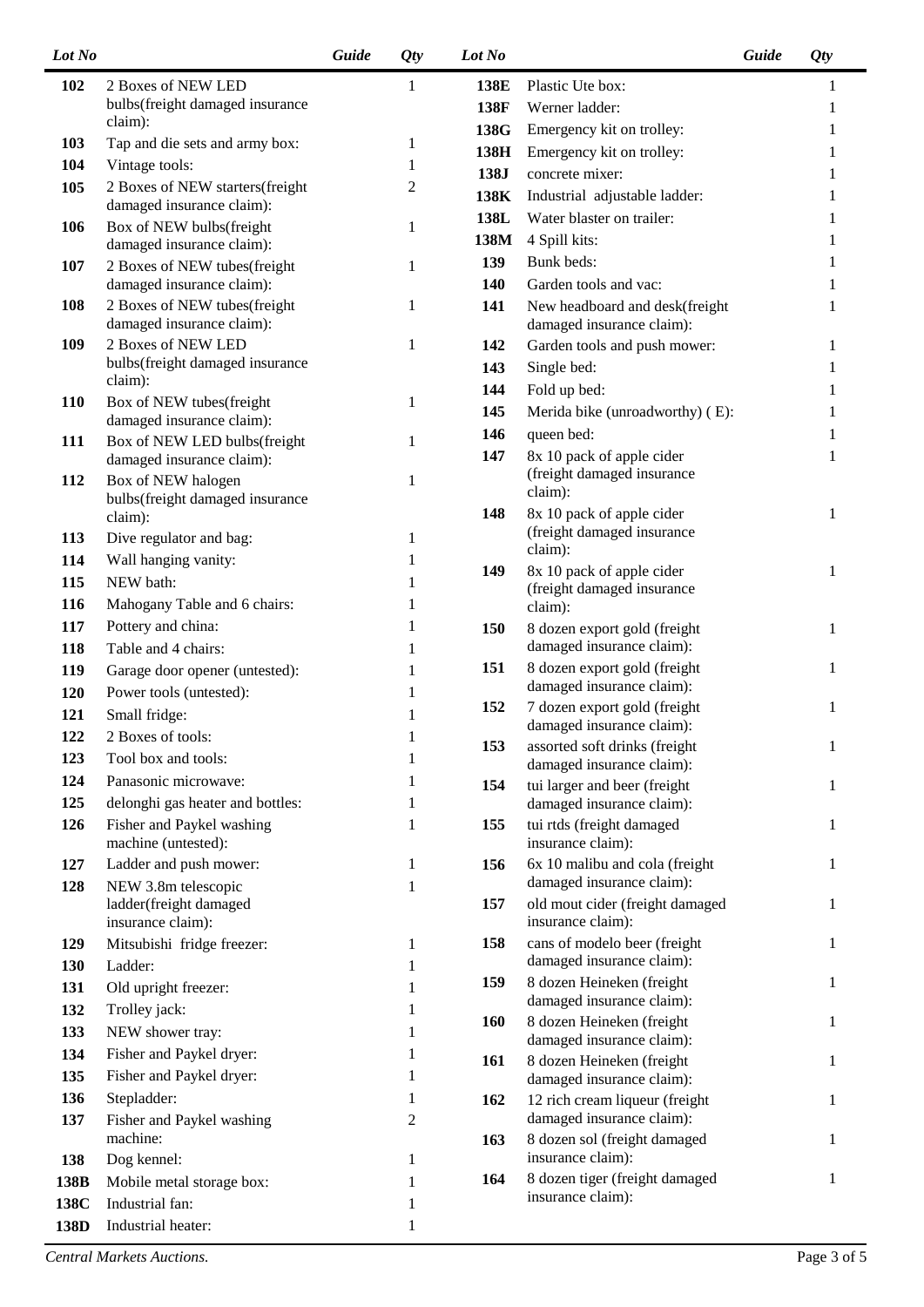| Lot No     |                                                              | Guide | Qty | Lot No     |                                                              | Guide | Qty |
|------------|--------------------------------------------------------------|-------|-----|------------|--------------------------------------------------------------|-------|-----|
| 102        | 2 Boxes of NEW LED                                           |       | 1   | 138E       | Plastic Ute box:                                             |       | 1   |
|            | bulbs(freight damaged insurance                              |       |     | 138F       | Werner ladder:                                               |       |     |
|            | claim):                                                      |       |     | 138G       | Emergency kit on trolley:                                    |       |     |
| 103        | Tap and die sets and army box:                               |       | 1   | 138H       | Emergency kit on trolley:                                    |       |     |
| 104        | Vintage tools:                                               |       | 1   | 138J       | concrete mixer:                                              |       |     |
| 105        | 2 Boxes of NEW starters(freight<br>damaged insurance claim): |       | 2   | 138K       | Industrial adjustable ladder:                                |       |     |
| 106        | Box of NEW bulbs(freight                                     |       | 1   | 138L       | Water blaster on trailer:                                    |       |     |
|            | damaged insurance claim):                                    |       |     | 138M       | 4 Spill kits:                                                |       |     |
| 107        | 2 Boxes of NEW tubes(freight                                 |       | 1   | 139        | Bunk beds:                                                   |       |     |
|            | damaged insurance claim):                                    |       |     | <b>140</b> | Garden tools and vac:                                        |       |     |
| 108        | 2 Boxes of NEW tubes(freight<br>damaged insurance claim):    |       | 1   | 141        | New headboard and desk(freight<br>damaged insurance claim):  |       |     |
| 109        | 2 Boxes of NEW LED                                           |       | 1   | 142        | Garden tools and push mower:                                 |       | 1   |
|            | bulbs(freight damaged insurance                              |       |     | 143        | Single bed:                                                  |       |     |
|            | claim):                                                      |       |     | 144        | Fold up bed:                                                 |       |     |
| <b>110</b> | Box of NEW tubes(freight<br>damaged insurance claim):        |       | 1   | 145        | Merida bike (unroadworthy) (E):                              |       |     |
| 111        | Box of NEW LED bulbs(freight                                 |       | 1   | 146        | queen bed:                                                   |       |     |
|            | damaged insurance claim):                                    |       |     | 147        | 8x 10 pack of apple cider                                    |       | 1   |
| 112        | Box of NEW halogen                                           |       | 1   |            | (freight damaged insurance                                   |       |     |
|            | bulbs(freight damaged insurance                              |       |     |            | claim):                                                      |       |     |
|            | claim):                                                      |       |     | 148        | 8x 10 pack of apple cider<br>(freight damaged insurance      |       | 1   |
| 113        | Dive regulator and bag:                                      |       | 1   |            | claim):                                                      |       |     |
| 114        | Wall hanging vanity:                                         |       | 1   | 149        | 8x 10 pack of apple cider                                    |       | 1   |
| 115        | NEW bath:                                                    |       | 1   |            | (freight damaged insurance                                   |       |     |
| 116        | Mahogany Table and 6 chairs:                                 |       | 1   |            | claim):                                                      |       |     |
| 117        | Pottery and china:                                           |       | 1   | 150        | 8 dozen export gold (freight                                 |       | 1   |
| 118        | Table and 4 chairs:                                          |       | 1   |            | damaged insurance claim):                                    |       |     |
| 119        | Garage door opener (untested):                               |       | 1   | 151        | 8 dozen export gold (freight<br>damaged insurance claim):    |       |     |
| 120        | Power tools (untested):                                      |       |     | 152        | 7 dozen export gold (freight                                 |       | 1   |
| 121        | Small fridge:                                                |       | 1   |            | damaged insurance claim):                                    |       |     |
| 122        | 2 Boxes of tools:                                            |       |     | 153        | assorted soft drinks (freight                                |       | 1   |
| 123        | Tool box and tools:                                          |       | 1   |            | damaged insurance claim):                                    |       |     |
| 124        | Panasonic microwave:                                         |       | 1   | 154        | tui larger and beer (freight                                 |       | 1   |
| 125        | delonghi gas heater and bottles:                             |       | 1   |            | damaged insurance claim):                                    |       |     |
| 126        | Fisher and Paykel washing<br>machine (untested):             |       | 1   | 155        | tui rtds (freight damaged<br>insurance claim):               |       | 1   |
| 127        | Ladder and push mower:                                       |       | 1   | 156        | 6x 10 malibu and cola (freight                               |       | 1   |
| 128        | NEW 3.8m telescopic<br>ladder(freight damaged                |       | 1   | 157        | damaged insurance claim):<br>old mout cider (freight damaged |       | 1   |
|            | insurance claim):                                            |       |     |            | insurance claim):                                            |       |     |
| 129        | Mitsubishi fridge freezer:                                   |       | 1   | 158        | cans of modelo beer (freight                                 |       | 1   |
| 130        | Ladder:                                                      |       | 1   |            | damaged insurance claim):                                    |       |     |
| 131        | Old upright freezer:                                         |       | 1   | 159        | 8 dozen Heineken (freight                                    |       | 1   |
| 132        | Trolley jack:                                                |       | 1   |            | damaged insurance claim):                                    |       |     |
| 133        | NEW shower tray:                                             |       | 1   | 160        | 8 dozen Heineken (freight                                    |       | 1   |
| 134        | Fisher and Paykel dryer:                                     |       | 1   | 161        | damaged insurance claim):<br>8 dozen Heineken (freight       |       | 1   |
| 135        | Fisher and Paykel dryer:                                     |       | 1   |            | damaged insurance claim):                                    |       |     |
| 136        | Stepladder:                                                  |       | 1   | 162        | 12 rich cream liqueur (freight                               |       | 1   |
| 137        | Fisher and Paykel washing                                    |       | 2   |            | damaged insurance claim):                                    |       |     |
|            | machine:                                                     |       |     | 163        | 8 dozen sol (freight damaged                                 |       | 1   |
| 138        | Dog kennel:                                                  |       | 1   |            | insurance claim):                                            |       |     |
| 138B       | Mobile metal storage box:                                    |       | 1   | 164        | 8 dozen tiger (freight damaged<br>insurance claim):          |       | 1   |
| 138C       | Industrial fan:                                              |       | 1   |            |                                                              |       |     |
| 138D       | Industrial heater:                                           |       |     |            |                                                              |       |     |

*Central Markets Auctions.* Page 3 of 5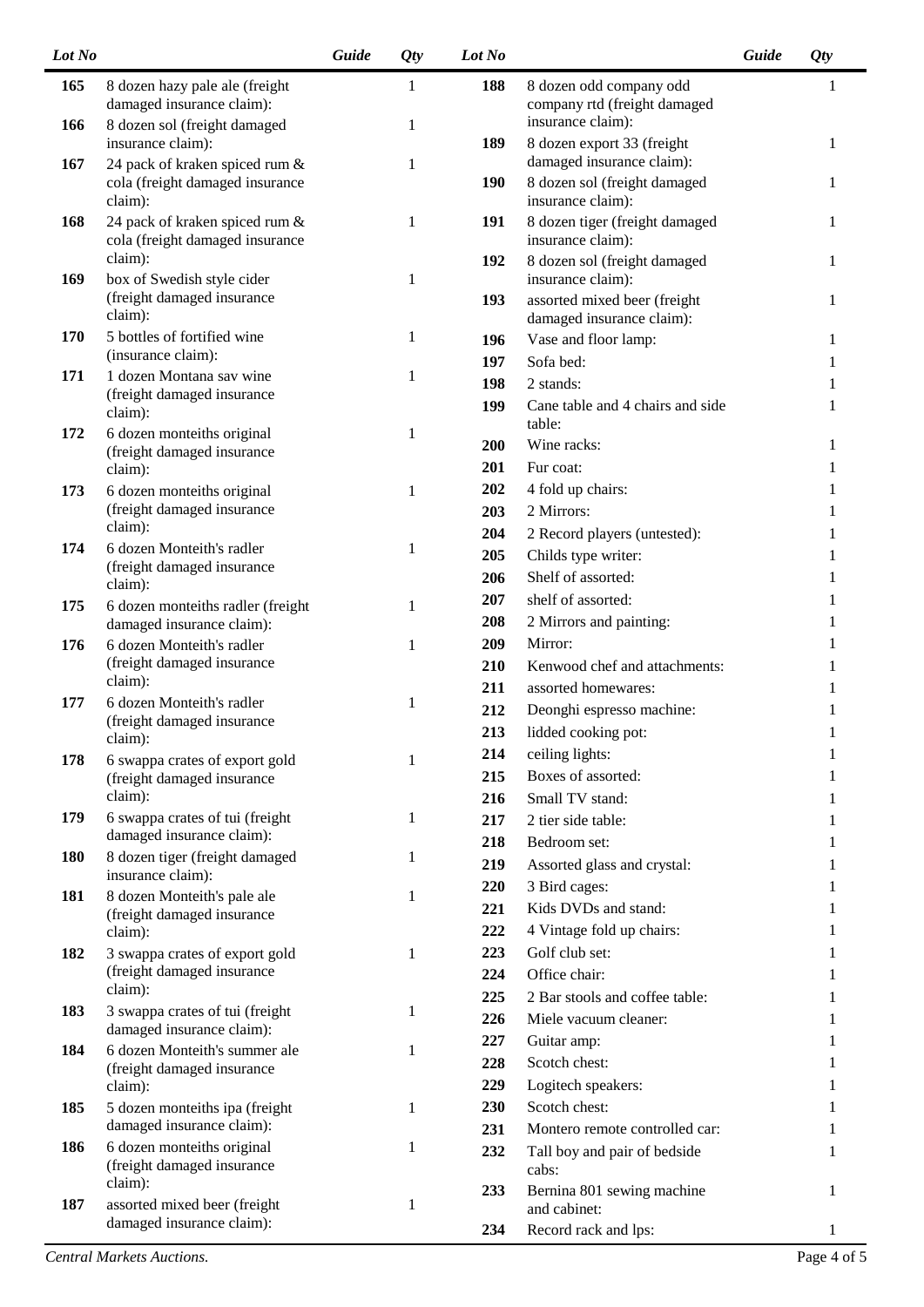| Lot No |                                                                   | Guide | <i>Qty</i>   | Lot No     |                                                           | Guide | <i>Qty</i>   |
|--------|-------------------------------------------------------------------|-------|--------------|------------|-----------------------------------------------------------|-------|--------------|
| 165    | 8 dozen hazy pale ale (freight<br>damaged insurance claim):       |       | 1            | 188        | 8 dozen odd company odd<br>company rtd (freight damaged   |       | 1            |
| 166    | 8 dozen sol (freight damaged<br>insurance claim):                 |       | $\mathbf{1}$ | 189        | insurance claim):<br>8 dozen export 33 (freight           |       | $\mathbf{1}$ |
| 167    | 24 pack of kraken spiced rum &                                    |       | 1            |            | damaged insurance claim):                                 |       |              |
|        | cola (freight damaged insurance<br>claim):                        |       |              | 190        | 8 dozen sol (freight damaged<br>insurance claim):         |       | 1            |
| 168    | 24 pack of kraken spiced rum &<br>cola (freight damaged insurance |       | 1            | 191        | 8 dozen tiger (freight damaged<br>insurance claim):       |       | 1            |
| 169    | claim):<br>box of Swedish style cider                             |       | 1            | 192        | 8 dozen sol (freight damaged<br>insurance claim):         |       | 1            |
|        | (freight damaged insurance<br>claim):                             |       |              | 193        | assorted mixed beer (freight<br>damaged insurance claim): |       | 1            |
| 170    | 5 bottles of fortified wine<br>(insurance claim):                 |       | 1            | 196        | Vase and floor lamp:                                      |       | 1            |
| 171    | 1 dozen Montana sav wine                                          |       | 1            | 197        | Sofa bed:                                                 |       | 1            |
|        | (freight damaged insurance                                        |       |              | 198        | 2 stands:                                                 |       | 1            |
| 172    | claim):<br>6 dozen monteiths original                             |       | 1            | 199        | Cane table and 4 chairs and side<br>table:                |       | 1            |
|        | (freight damaged insurance                                        |       |              | 200        | Wine racks:                                               |       | 1            |
|        | claim):                                                           |       |              | 201        | Fur coat:                                                 |       | 1            |
| 173    | 6 dozen monteiths original                                        |       | 1            | 202        | 4 fold up chairs:                                         |       | 1            |
|        | (freight damaged insurance<br>claim):                             |       |              | 203        | 2 Mirrors:                                                |       | 1            |
| 174    | 6 dozen Monteith's radler                                         |       | 1            | 204        | 2 Record players (untested):                              |       | 1            |
|        | (freight damaged insurance                                        |       |              | 205        | Childs type writer:                                       |       | 1            |
|        | claim):                                                           |       |              | 206        | Shelf of assorted:                                        |       | 1            |
| 175    | 6 dozen monteiths radler (freight                                 |       | 1            | 207        | shelf of assorted:                                        |       | 1            |
|        | damaged insurance claim):                                         |       |              | 208        | 2 Mirrors and painting:                                   |       | 1            |
| 176    | 6 dozen Monteith's radler                                         |       | $\mathbf{1}$ | 209        | Mirror:                                                   |       | 1            |
|        | (freight damaged insurance<br>claim):                             |       |              | 210        | Kenwood chef and attachments:                             |       | 1            |
| 177    | 6 dozen Monteith's radler                                         |       | 1            | 211        | assorted homewares:                                       |       | 1            |
|        | (freight damaged insurance                                        |       |              | 212        | Deonghi espresso machine:                                 |       | 1            |
|        | claim):                                                           |       |              | 213<br>214 | lidded cooking pot:<br>ceiling lights:                    |       | 1            |
| 178    | 6 swappa crates of export gold                                    |       | 1            | 215        | Boxes of assorted:                                        |       | 1            |
|        | (freight damaged insurance<br>claim):                             |       |              | 216        | Small TV stand:                                           |       | 1            |
| 179    | 6 swappa crates of tui (freight                                   |       | 1            | 217        | 2 tier side table:                                        |       | 1            |
|        | damaged insurance claim):                                         |       |              | 218        | Bedroom set:                                              |       | 1            |
| 180    | 8 dozen tiger (freight damaged                                    |       | 1            | 219        | Assorted glass and crystal:                               |       | 1            |
|        | insurance claim):                                                 |       |              | 220        | 3 Bird cages:                                             |       | 1            |
| 181    | 8 dozen Monteith's pale ale                                       |       | 1            | 221        | Kids DVDs and stand:                                      |       | T            |
|        | (freight damaged insurance<br>claim):                             |       |              | 222        | 4 Vintage fold up chairs:                                 |       |              |
| 182    | 3 swappa crates of export gold                                    |       | 1            | 223        | Golf club set:                                            |       | 1            |
|        | (freight damaged insurance                                        |       |              | 224        | Office chair:                                             |       | 1            |
|        | claim):                                                           |       |              | 225        | 2 Bar stools and coffee table:                            |       | 1            |
| 183    | 3 swappa crates of tui (freight                                   |       | 1            | 226        | Miele vacuum cleaner:                                     |       | 1            |
|        | damaged insurance claim):                                         |       |              | 227        | Guitar amp:                                               |       | 1            |
| 184    | 6 dozen Monteith's summer ale<br>(freight damaged insurance       |       | 1            | 228        | Scotch chest:                                             |       | 1            |
|        | claim):                                                           |       |              | 229        | Logitech speakers:                                        |       | 1            |
| 185    | 5 dozen monteiths ipa (freight                                    |       | 1            | 230        | Scotch chest:                                             |       | 1            |
|        | damaged insurance claim):                                         |       |              | 231        | Montero remote controlled car:                            |       | 1            |
| 186    | 6 dozen monteiths original<br>(freight damaged insurance          |       | 1            | 232        | Tall boy and pair of bedside<br>cabs:                     |       | 1            |
| 187    | claim):<br>assorted mixed beer (freight                           |       | 1            | 233        | Bernina 801 sewing machine<br>and cabinet:                |       | 1            |
|        | damaged insurance claim):                                         |       |              | 234        | Record rack and lps:                                      |       |              |

*Central Markets Auctions.* Page 4 of 5